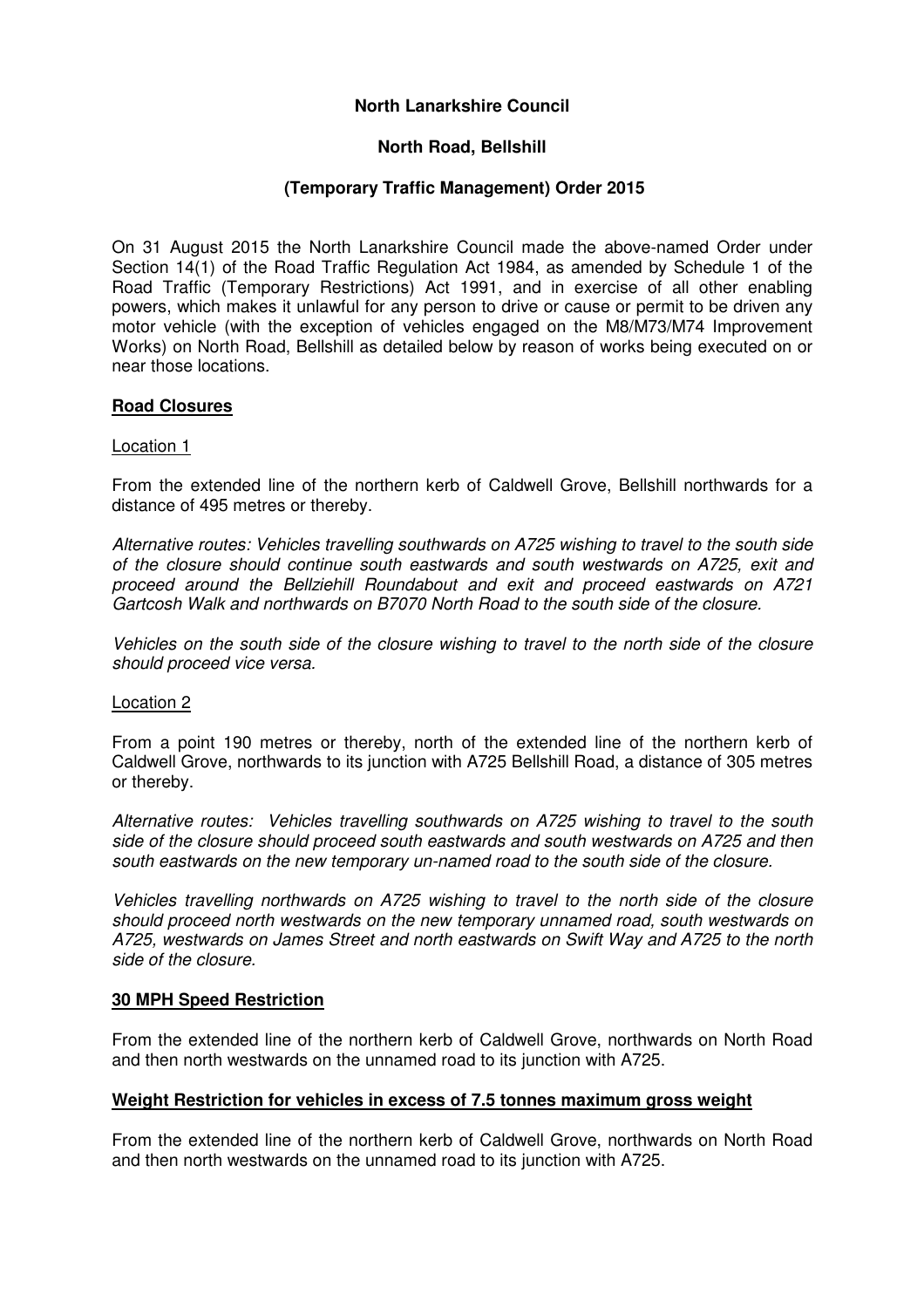# **North Lanarkshire Council**

## **North Road, Bellshill**

# **(Temporary Traffic Management) Order 2015**

On 31 August 2015 the North Lanarkshire Council made the above-named Order under Section 14(1) of the Road Traffic Regulation Act 1984, as amended by Schedule 1 of the Road Traffic (Temporary Restrictions) Act 1991, and in exercise of all other enabling powers, which makes it unlawful for any person to drive or cause or permit to be driven any motor vehicle (with the exception of vehicles engaged on the M8/M73/M74 Improvement Works) on North Road, Bellshill as detailed below by reason of works being executed on or near those locations.

### **Road Closures**

#### Location 1

From the extended line of the northern kerb of Caldwell Grove, Bellshill northwards for a distance of 495 metres or thereby.

Alternative routes: Vehicles travelling southwards on A725 wishing to travel to the south side of the closure should continue south eastwards and south westwards on A725, exit and proceed around the Bellziehill Roundabout and exit and proceed eastwards on A721 Gartcosh Walk and northwards on B7070 North Road to the south side of the closure.

Vehicles on the south side of the closure wishing to travel to the north side of the closure should proceed vice versa.

#### Location 2

From a point 190 metres or thereby, north of the extended line of the northern kerb of Caldwell Grove, northwards to its junction with A725 Bellshill Road, a distance of 305 metres or thereby.

Alternative routes: Vehicles travelling southwards on A725 wishing to travel to the south side of the closure should proceed south eastwards and south westwards on A725 and then south eastwards on the new temporary un-named road to the south side of the closure.

Vehicles travelling northwards on A725 wishing to travel to the north side of the closure should proceed north westwards on the new temporary unnamed road, south westwards on A725, westwards on James Street and north eastwards on Swift Way and A725 to the north side of the closure.

#### **30 MPH Speed Restriction**

From the extended line of the northern kerb of Caldwell Grove, northwards on North Road and then north westwards on the unnamed road to its junction with A725.

### **Weight Restriction for vehicles in excess of 7.5 tonnes maximum gross weight**

From the extended line of the northern kerb of Caldwell Grove, northwards on North Road and then north westwards on the unnamed road to its junction with A725.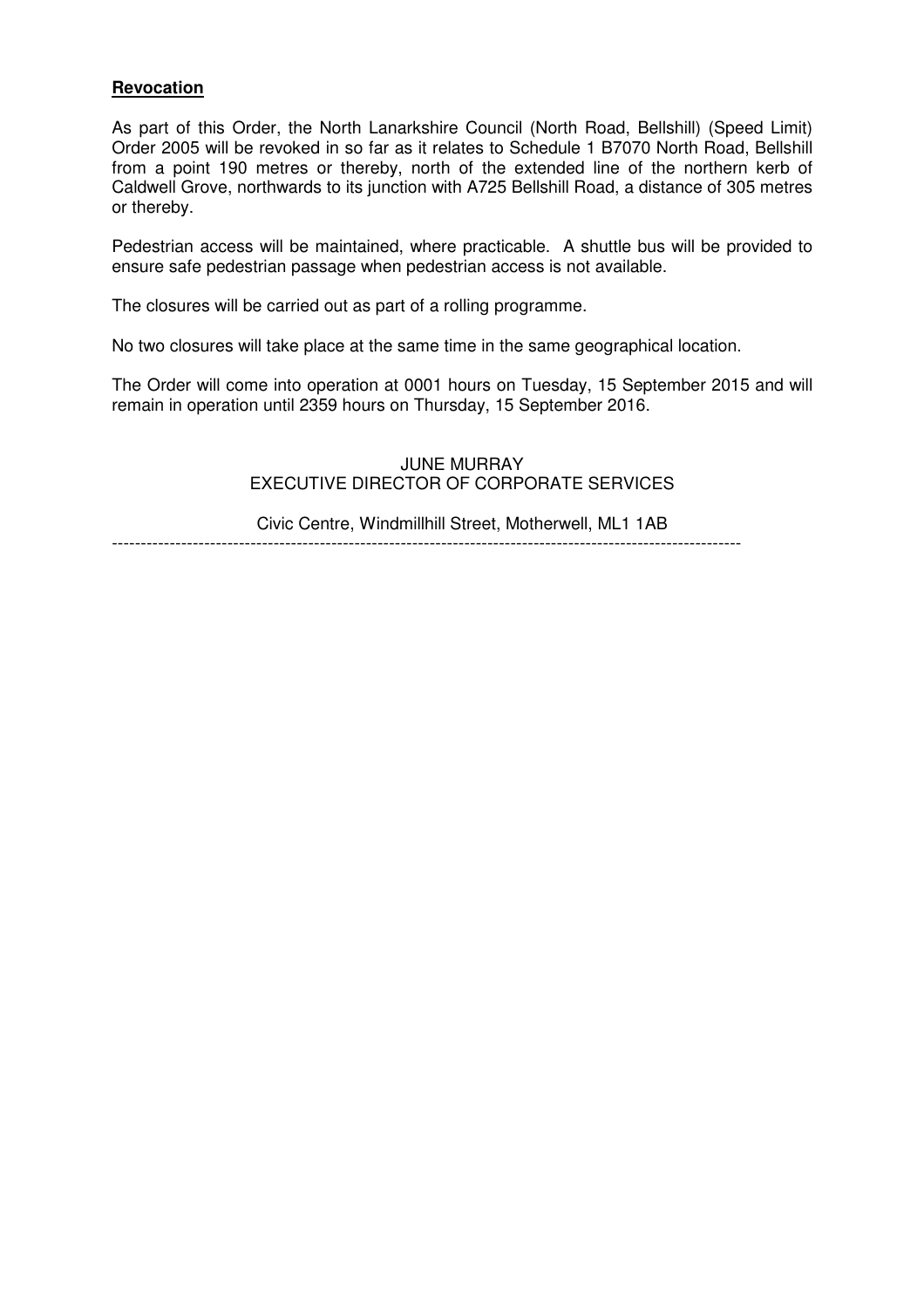#### **Revocation**

As part of this Order, the North Lanarkshire Council (North Road, Bellshill) (Speed Limit) Order 2005 will be revoked in so far as it relates to Schedule 1 B7070 North Road, Bellshill from a point 190 metres or thereby, north of the extended line of the northern kerb of Caldwell Grove, northwards to its junction with A725 Bellshill Road, a distance of 305 metres or thereby.

Pedestrian access will be maintained, where practicable. A shuttle bus will be provided to ensure safe pedestrian passage when pedestrian access is not available.

The closures will be carried out as part of a rolling programme.

No two closures will take place at the same time in the same geographical location.

The Order will come into operation at 0001 hours on Tuesday, 15 September 2015 and will remain in operation until 2359 hours on Thursday, 15 September 2016.

# JUNE MURRAY EXECUTIVE DIRECTOR OF CORPORATE SERVICES

Civic Centre, Windmillhill Street, Motherwell, ML1 1AB  $-$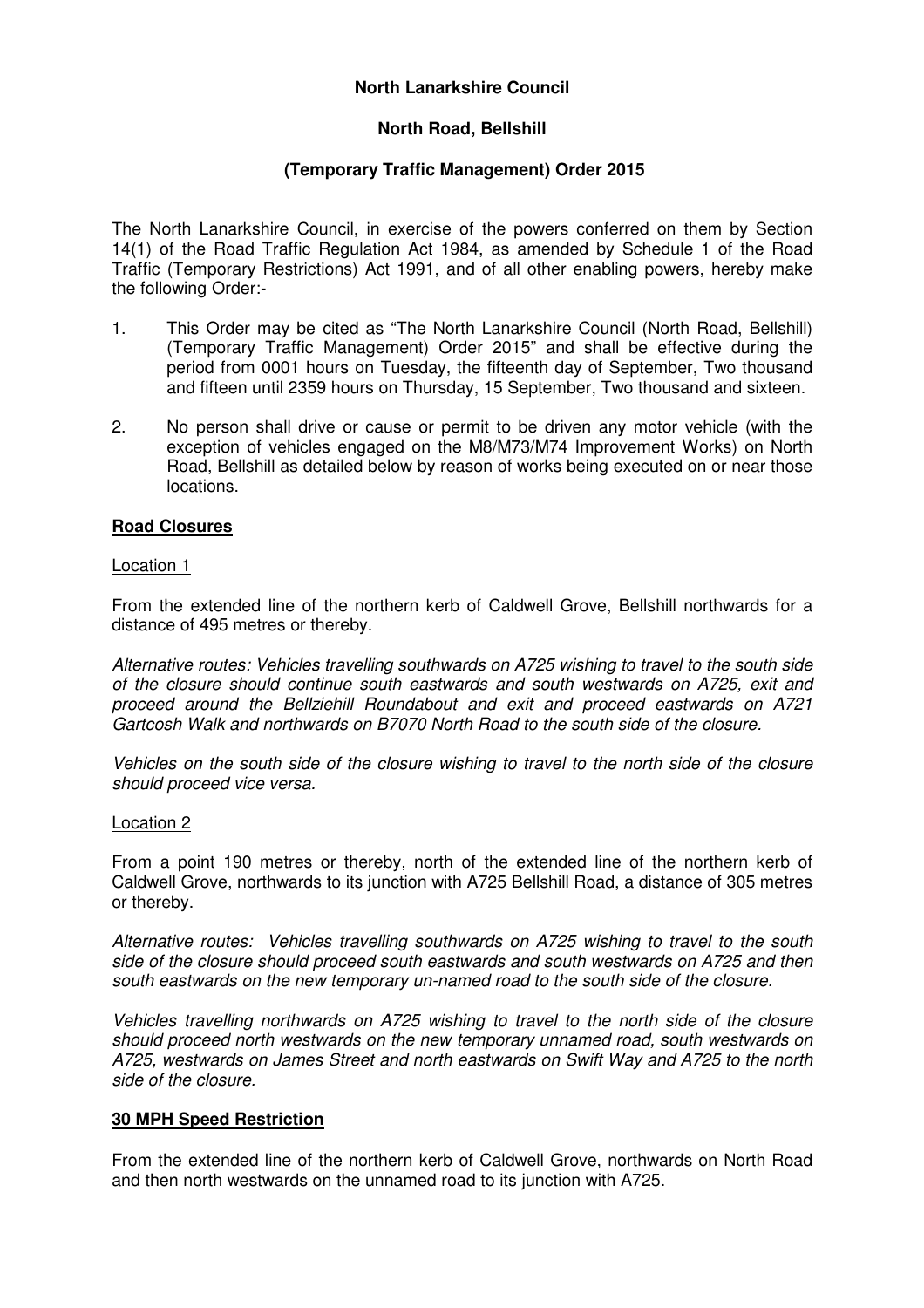### **North Lanarkshire Council**

# **North Road, Bellshill**

# **(Temporary Traffic Management) Order 2015**

The North Lanarkshire Council, in exercise of the powers conferred on them by Section 14(1) of the Road Traffic Regulation Act 1984, as amended by Schedule 1 of the Road Traffic (Temporary Restrictions) Act 1991, and of all other enabling powers, hereby make the following Order:-

- 1. This Order may be cited as "The North Lanarkshire Council (North Road, Bellshill) (Temporary Traffic Management) Order 2015" and shall be effective during the period from 0001 hours on Tuesday, the fifteenth day of September, Two thousand and fifteen until 2359 hours on Thursday, 15 September, Two thousand and sixteen.
- 2. No person shall drive or cause or permit to be driven any motor vehicle (with the exception of vehicles engaged on the M8/M73/M74 Improvement Works) on North Road, Bellshill as detailed below by reason of works being executed on or near those locations.

### **Road Closures**

#### Location 1

From the extended line of the northern kerb of Caldwell Grove, Bellshill northwards for a distance of 495 metres or thereby.

Alternative routes: Vehicles travelling southwards on A725 wishing to travel to the south side of the closure should continue south eastwards and south westwards on A725, exit and proceed around the Bellziehill Roundabout and exit and proceed eastwards on A721 Gartcosh Walk and northwards on B7070 North Road to the south side of the closure.

Vehicles on the south side of the closure wishing to travel to the north side of the closure should proceed vice versa.

#### Location 2

From a point 190 metres or thereby, north of the extended line of the northern kerb of Caldwell Grove, northwards to its junction with A725 Bellshill Road, a distance of 305 metres or thereby.

Alternative routes: Vehicles travelling southwards on A725 wishing to travel to the south side of the closure should proceed south eastwards and south westwards on A725 and then south eastwards on the new temporary un-named road to the south side of the closure.

Vehicles travelling northwards on A725 wishing to travel to the north side of the closure should proceed north westwards on the new temporary unnamed road, south westwards on A725, westwards on James Street and north eastwards on Swift Way and A725 to the north side of the closure.

### **30 MPH Speed Restriction**

From the extended line of the northern kerb of Caldwell Grove, northwards on North Road and then north westwards on the unnamed road to its junction with A725.